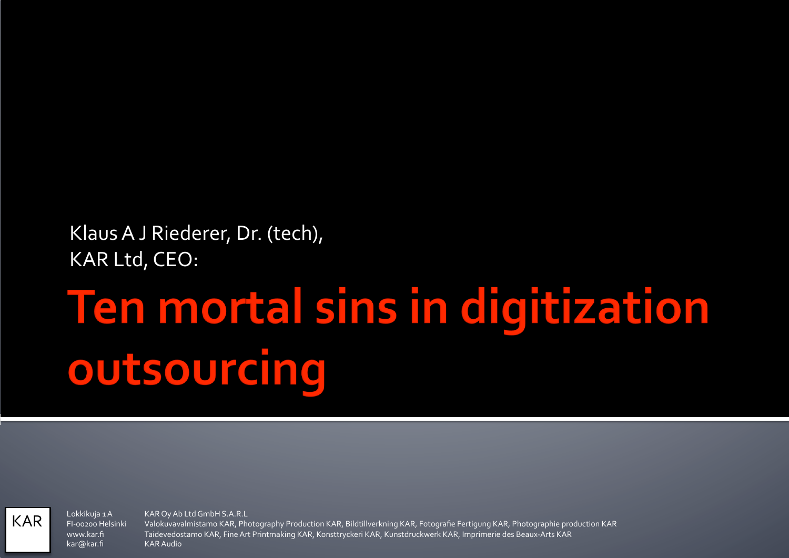#### Klaus A J Riederer, Dr. (tech), **KAR Ltd, CEO:**

## **Ten mortal sins in digitization** outsourcing

Lokkikuja 1 A FI-00200 Helsinki www.kar.fi kar@kar.fi

**KAR** 

KAR Ov Ab Ltd GmbH S.A.R.L

Valokuvavalmistamo KAR, Photography Production KAR, Bildtillverkning KAR, Fotografie Fertigung KAR, Photographie production KAR Taidevedostamo KAR, Fine Art Printmaking KAR, Konsttryckeri KAR, Kunstdruckwerk KAR, Imprimerie des Beaux-Arts KAR **KAR Audio**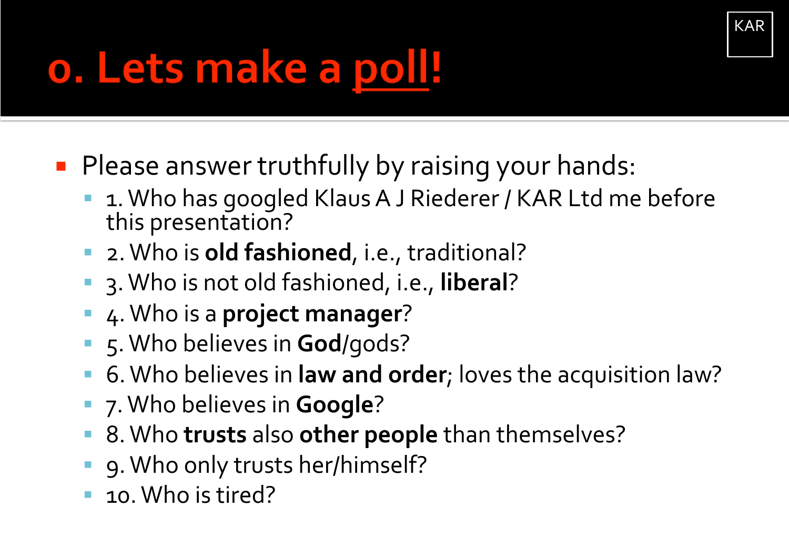### o. Lets make a poll!

• Please answer truthfully by raising your hands:

1. Who has googled Klaus A J Riederer / KAR Ltd me before this presentation?

KAR

- 2. Who is old fashioned, i.e., traditional?
- 3. Who is not old fashioned, i.e., liberal?
- 4. Who is a project manager?
- 5. Who believes in God/gods?
- 6. Who believes in law and order; loves the acquisition law?
- 7. Who believes in Google?
- 8. Who trusts also other people than themselves?
- 9. Who only trusts her/himself?
- 10. Who is tired?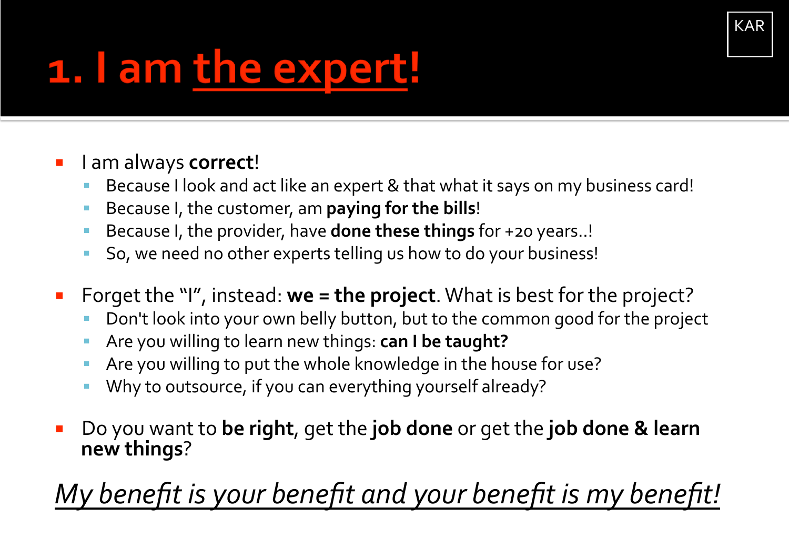### 1. I am the expert!

#### I am always correct!  $\overline{\phantom{a}}$

Because I look and act like an expert & that what it says on my business card!

**KAR** 

- Because I, the customer, am paying for the bills!
- Because I, the provider, have done these things for +20 years..!
- So, we need no other experts telling us how to do your business!
- Forget the "I", instead:  $we = the project$ . What is best for the project?
	- Don't look into your own belly button, but to the common good for the project
	- Are you willing to learn new things: can I be taught?
	- Are you willing to put the whole knowledge in the house for use?
	- Why to outsource, if you can everything yourself already?
- Do you want to be right, get the job done or get the job done & learn new things?

### My benefit is your benefit and your benefit is my benefit!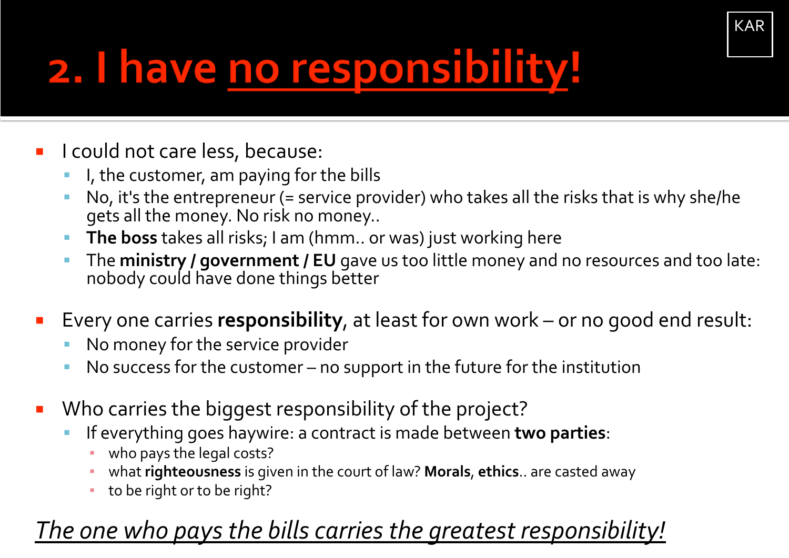## 2. I have no responsibility!

- I could not care less, because:  $\mathcal{L}_{\mathcal{A}}$ 
	- I, the customer, am paying for the bills
	- No, it's the entrepreneur (= service provider) who takes all the risks that is why she/he gets all the money. No risk no money..

KAR

- The boss takes all risks; I am (hmm.. or was) just working here
- The ministry / government / EU gave us too little money and no resources and too late: nobody could have done things better
- Every one carries responsibility, at least for own work or no good end result:  $\mathcal{L}_{\rm{max}}$ 
	- No money for the service provider
	- No success for the customer no support in the future for the institution
- Who carries the biggest responsibility of the project?  $\mathcal{L}_{\mathcal{A}}$ 
	- If everything goes haywire: a contract is made between two parties:
		- who pays the legal costs?
		- what righteousness is given in the court of law? Morals, ethics.. are casted away
		- to be right or to be right?

### <u>The one who pays the bills carries the greatest responsibility!</u>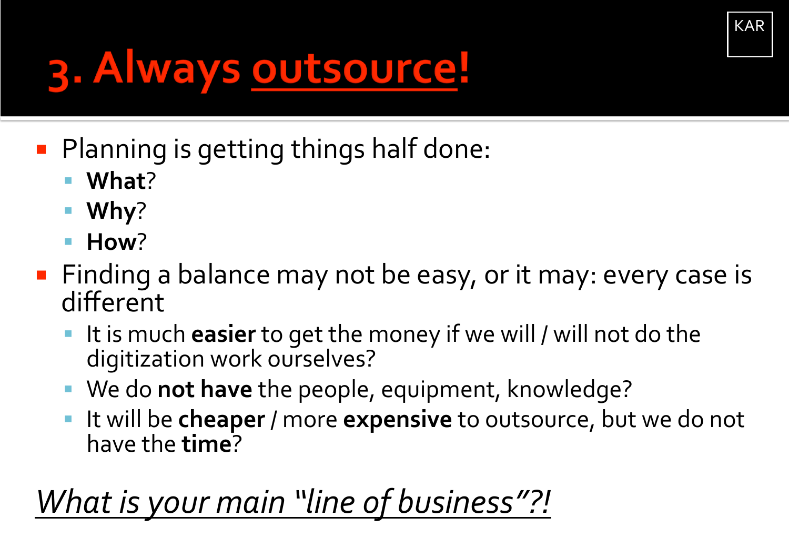## 3. Always outsource!

- Planning is getting things half done:
	- What?
	- Why?
	- $\blacksquare$  How?
- Finding a balance may not be easy, or it may: every case is different

**KAR** 

- It is much easier to get the money if we will / will not do the digitization work ourselves?
- We do not have the people, equipment, knowledge?
- It will be cheaper / more expensive to outsource, but we do not have the **time**?

### What is your main "line of business"?!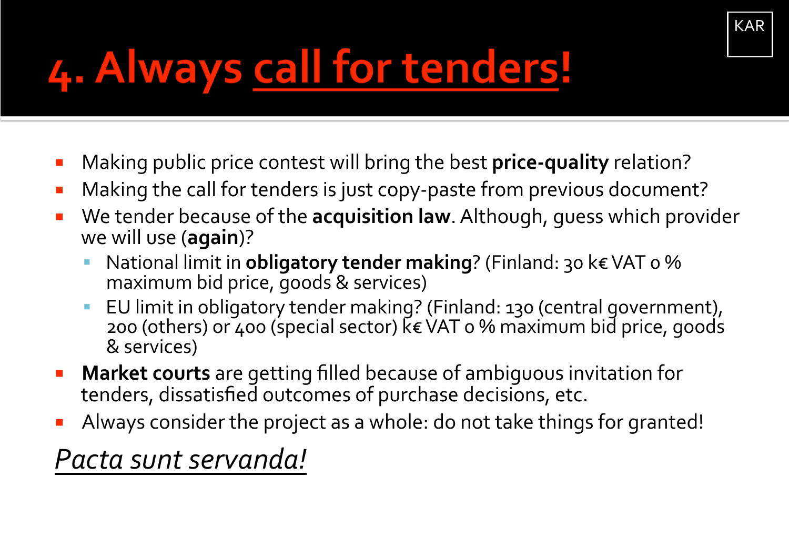## 4. Always call for tenders!

- Making public price contest will bring the best price-quality relation?  $\mathcal{L}_{\mathcal{A}}$
- Making the call for tenders is just copy-paste from previous document?  $\mathcal{L}_{\mathcal{A}}$
- We tender because of the **acquisition law**. Although, guess which provider  $\blacksquare$ we will use (again)?

KAR

- National limit in obligatory tender making? (Finland: 30 k€ VAT o % maximum bid price, goods & services)
- EU limit in obligatory tender making? (Finland: 130 (central government), 200 (others) or 400 (special sector)  $k \in VAT$  o % maximum bid price, goods & services)
- Market courts are getting filled because of ambiguous invitation for  $\mathcal{L}_{\mathcal{A}}$ tenders, dissatisfied outcomes of purchase decisions, etc.
- Always consider the project as a whole: do not take things for granted!

### Pacta sunt servanda!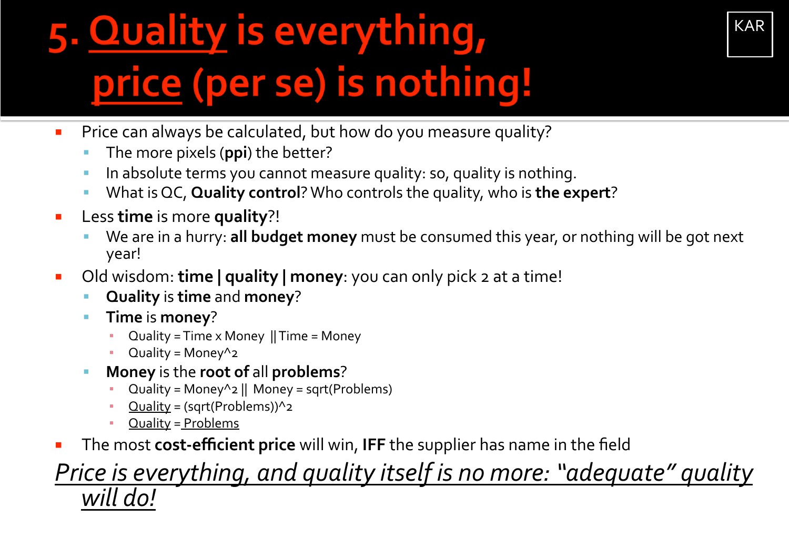### 5. Quality is everything, price (per se) is nothing!

KAR

- Price can always be calculated, but how do you measure quality?  $\mathcal{L}_{\mathcal{A}}$ 
	- The more pixels (ppi) the better?  $\mathcal{L}_{\mathcal{A}}$
	- In absolute terms you cannot measure quality: so, quality is nothing.
	- What is QC, Quality control? Who controls the quality, who is the expert?  $\overline{\phantom{a}}$
- Less time is more quality?!  $\mathcal{L}_{\mathcal{A}}$ 
	- We are in a hurry: all budget money must be consumed this year, or nothing will be got next vear!
- Old wisdom: time | quality | money: you can only pick 2 at a time!  $\mathcal{L}_{\mathcal{A}}$ 
	- Quality is time and money?  $\mathcal{L}_{\mathcal{A}}$
	- Time is money?  $\mathcal{L}_{\mathcal{A}}$ 
		- Quality = Time x Money || Time = Money
		- Quality = Money<sup> $\wedge$ 2</sup>
	- Money is the root of all problems?
		- Quality = Money^2 || Money = sqrt(Problems)
		- $Quality = (sqrt(Problems))$ <sup>2</sup>
		- <u> Quality</u> = Problems
- The most cost-efficient price will win, IFF the supplier has name in the field

#### Price is everything, and quality itself is no more: "adequate" quality will do!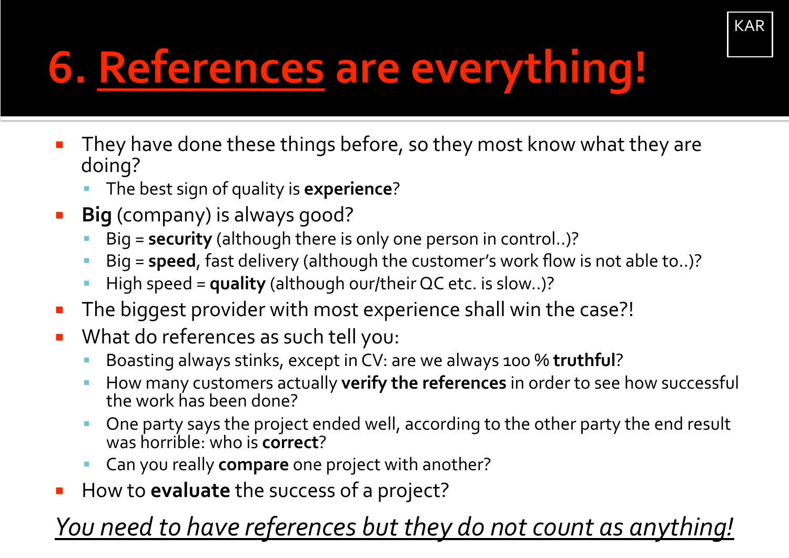## 6. References are everything!

They have done these things before, so they most know what they are doing?

KAR

- The best sign of quality is experience?
- Big (company) is always good?  $\mathcal{L}_{\mathcal{A}}$ 
	- Big = security (although there is only one person in control..)?
	- Big = speed, fast delivery (although the customer's work flow is not able to..)?
	- High speed =  $quality$  (although our/their QC etc. is slow..)?
- The biggest provider with most experience shall win the case?!  $\mathcal{L}_{\mathcal{A}}$
- What do references as such tell you:  $\mathcal{L}_{\mathcal{A}}$ 
	- Boasting always stinks, except in CV: are we always 100 % truthful?
	- How many customers actually verify the references in order to see how successful the work has been done?
	- One party says the project ended well, according to the other party the end result was horrible: who is **correct**?
	- Can you really compare one project with another?
- How to **evaluate** the success of a project?  $\mathcal{C}^{\mathcal{A}}$

You need to have references but they do not count as anything!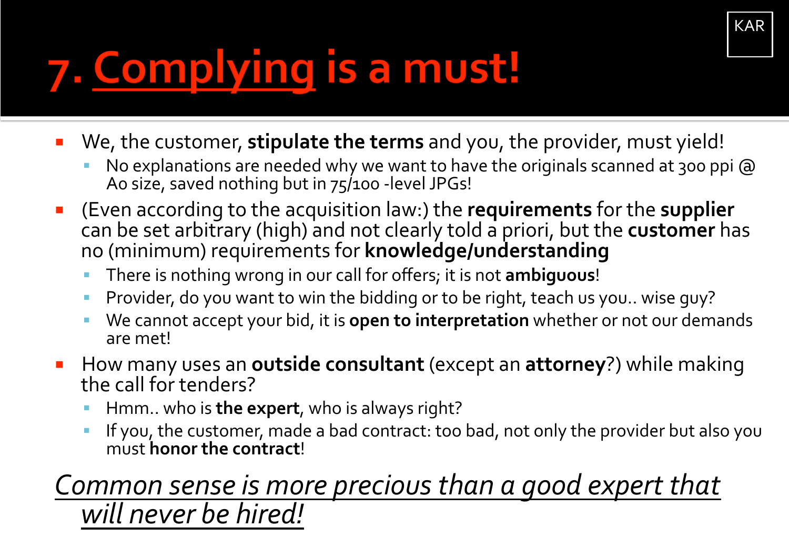## 7. Complying is a must!

- We, the customer, stipulate the terms and you, the provider, must yield!  $\mathcal{L}_{\mathcal{A}}$ 
	- No explanations are needed why we want to have the originals scanned at 300 ppi @ Ao size, saved nothing but in 75/100 -level JPGs!

**KAR** 

- (Even according to the acquisition law:) the requirements for the supplier can be set arbitrary (high) and not clearly told a priori, but the customer has no (minimum) requirements for knowledge/understanding
	- There is nothing wrong in our call for offers; it is not ambiguous!
	- Provider, do you want to win the bidding or to be right, teach us you.. wise guy?
	- We cannot accept your bid, it is open to interpretation whether or not our demands are met!
- How many uses an **outside consultant** (except an **attorney**?) while making the call for tenders?
	- Hmm.. who is the expert, who is always right?
	- If you, the customer, made a bad contract: too bad, not only the provider but also you must honor the contract!

### Common sense is more precious than a good expert that will never be hired!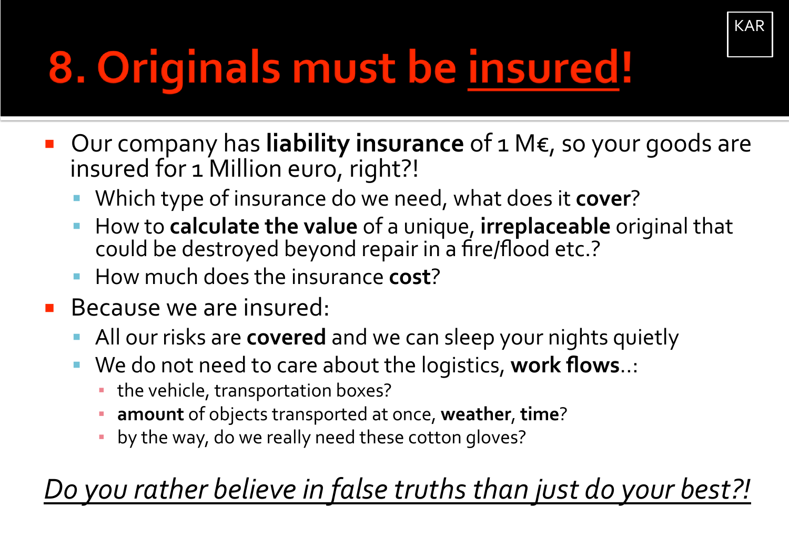## 8. Originals must be insured!

■ Our company has liability insurance of 1 M€, so your goods are insured for 1 Million euro, right?!

KAR

- Which type of insurance do we need, what does it cover?
- How to calculate the value of a unique, irreplaceable original that could be destroyed beyond repair in a fire/flood etc.?
- How much does the insurance cost?
- Because we are insured: **Contract** 
	- All our risks are covered and we can sleep your nights quietly
	- We do not need to care about the logistics, work flows..:
		- the vehicle, transportation boxes?
		- amount of objects transported at once, weather, time?
		- by the way, do we really need these cotton gloves?

o you rather believe in false truths than just do your best?!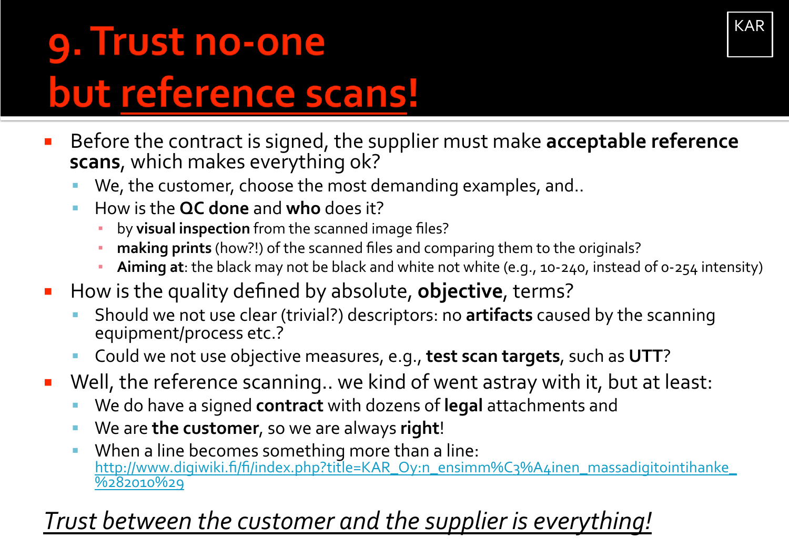### 9. Trust no-one but reference scans!

- Before the contract is signed, the supplier must make acceptable reference  $\overline{\phantom{a}}$ scans, which makes everything ok?
	- We, the customer, choose the most demanding examples, and..
	- How is the **QC done** and who does it?
		- by visual inspection from the scanned image files?
		- making prints (how?!) of the scanned files and comparing them to the originals?
		- Aiming at: the black may not be black and white not white (e.g., 10-240, instead of 0-254 intensity)
- How is the quality defined by absolute, objective, terms?
	- Should we not use clear (trivial?) descriptors: no artifacts caused by the scanning equipment/process etc.?
	- Could we not use objective measures, e.g., test scan targets, such as UTT?
- Well, the reference scanning.. we kind of went astray with it, but at least:  $\mathcal{L}_{\mathcal{A}}$ 
	- We do have a signed contract with dozens of legal attachments and
	- We are the customer, so we are always right!
	- When a line becomes something more than a line: http://www.digiwiki.fi/fi/index.php?title=KAR\_Oy:n\_ensimm%C3%A4inen\_massadigitointihanke\_ %282010%29

### Trust between the customer and the supplier is everything!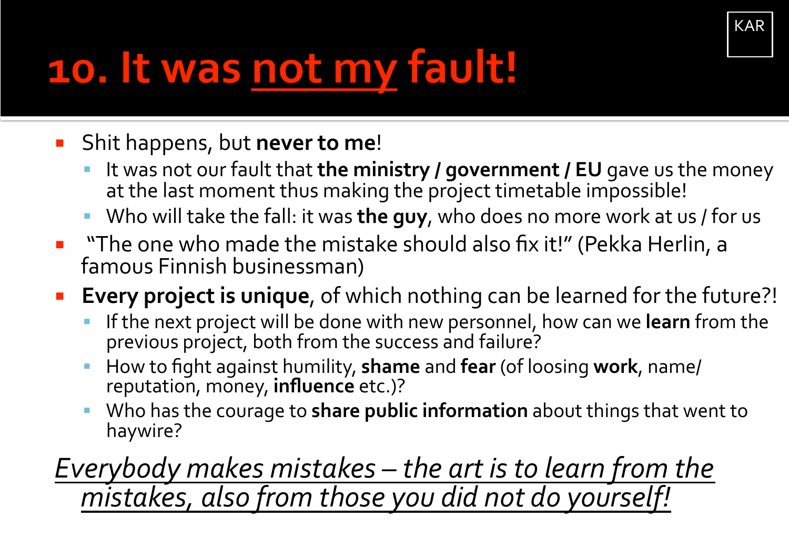### 10. It was not my fault!

#### Shit happens, but never to me!

It was not our fault that the ministry / government / EU gave us the money at the last moment thus making the project timetable impossible!

**KAR** 

- Who will take the fall: it was the guy, who does no more work at us / for us
- "The one who made the mistake should also fix it!" (Pekka Herlin, a  $\mathcal{L}_{\mathcal{A}}$ famous Finnish businessman)
- Every project is unique, of which nothing can be learned for the future?!  $\mathcal{L}_{\mathcal{A}}$ 
	- If the next project will be done with new personnel, how can we learn from the previous project, both from the success and failure?
	- How to fight against humility, shame and fear (of loosing work, name/ reputation, money, influence etc.)?
	- Who has the courage to share public information about things that went to haywire?

### Everybody makes mistakes - the art is to learn from the mistakes, also from those you did not do yourself!